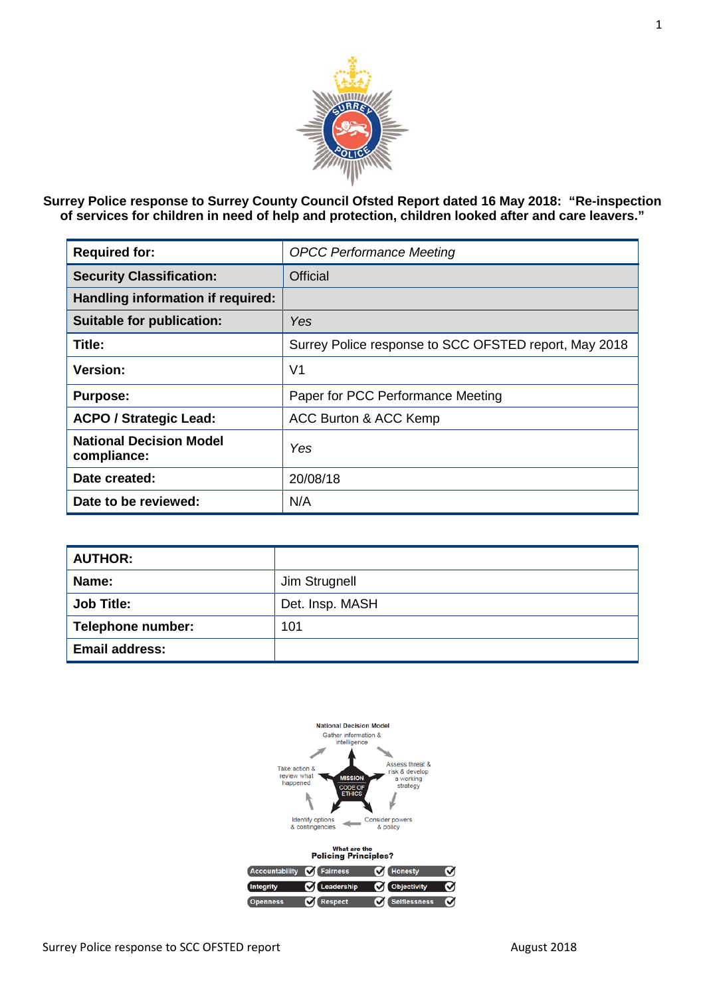

**Surrey Police response to Surrey County Council Ofsted Report dated 16 May 2018: "Re-inspection of services for children in need of help and protection, children looked after and care leavers."**

| <b>Required for:</b>                          | <b>OPCC Performance Meeting</b>                       |
|-----------------------------------------------|-------------------------------------------------------|
| <b>Security Classification:</b>               | <b>Official</b>                                       |
| Handling information if required:             |                                                       |
| <b>Suitable for publication:</b>              | Yes                                                   |
| Title:                                        | Surrey Police response to SCC OFSTED report, May 2018 |
| Version:                                      | V1                                                    |
| <b>Purpose:</b>                               | Paper for PCC Performance Meeting                     |
| <b>ACPO / Strategic Lead:</b>                 | ACC Burton & ACC Kemp                                 |
| <b>National Decision Model</b><br>compliance: | Yes                                                   |
| Date created:                                 | 20/08/18                                              |
| Date to be reviewed:                          | N/A                                                   |

| <b>AUTHOR:</b>           |                 |
|--------------------------|-----------------|
| Name:                    | Jim Strugnell   |
| <b>Job Title:</b>        | Det. Insp. MASH |
| <b>Telephone number:</b> | 101             |
| <b>Email address:</b>    |                 |

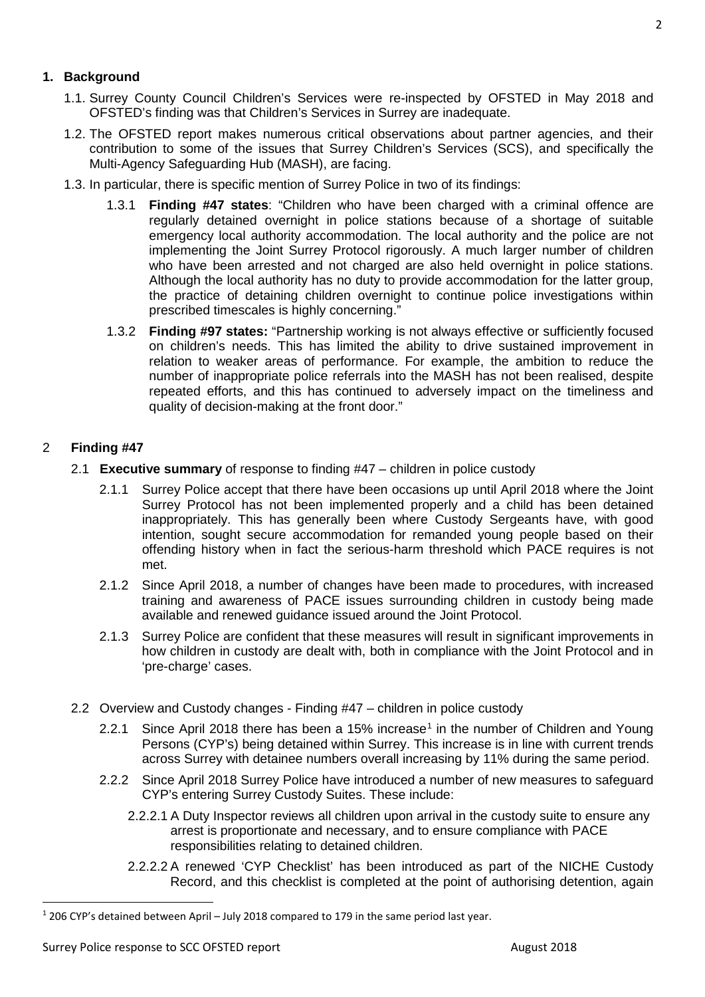## **1. Background**

- 1.1. Surrey County Council Children's Services were re-inspected by OFSTED in May 2018 and OFSTED's finding was that Children's Services in Surrey are inadequate.
- 1.2. The OFSTED report makes numerous critical observations about partner agencies, and their contribution to some of the issues that Surrey Children's Services (SCS), and specifically the Multi-Agency Safeguarding Hub (MASH), are facing.
- 1.3. In particular, there is specific mention of Surrey Police in two of its findings:
	- 1.3.1 **Finding #47 states**: "Children who have been charged with a criminal offence are regularly detained overnight in police stations because of a shortage of suitable emergency local authority accommodation. The local authority and the police are not implementing the Joint Surrey Protocol rigorously. A much larger number of children who have been arrested and not charged are also held overnight in police stations. Although the local authority has no duty to provide accommodation for the latter group, the practice of detaining children overnight to continue police investigations within prescribed timescales is highly concerning."
	- 1.3.2 **Finding #97 states:** "Partnership working is not always effective or sufficiently focused on children's needs. This has limited the ability to drive sustained improvement in relation to weaker areas of performance. For example, the ambition to reduce the number of inappropriate police referrals into the MASH has not been realised, despite repeated efforts, and this has continued to adversely impact on the timeliness and quality of decision-making at the front door."

# 2 **Finding #47**

- 2.1 **Executive summary** of response to finding #47 children in police custody
	- 2.1.1 Surrey Police accept that there have been occasions up until April 2018 where the Joint Surrey Protocol has not been implemented properly and a child has been detained inappropriately. This has generally been where Custody Sergeants have, with good intention, sought secure accommodation for remanded young people based on their offending history when in fact the serious-harm threshold which PACE requires is not met.
	- 2.1.2 Since April 2018, a number of changes have been made to procedures, with increased training and awareness of PACE issues surrounding children in custody being made available and renewed guidance issued around the Joint Protocol.
	- 2.1.3 Surrey Police are confident that these measures will result in significant improvements in how children in custody are dealt with, both in compliance with the Joint Protocol and in 'pre-charge' cases.
- 2.2 Overview and Custody changes Finding #47 children in police custody
	- 2.2.[1](#page-1-0) Since April 2018 there has been a 15% increase<sup>1</sup> in the number of Children and Young Persons (CYP's) being detained within Surrey. This increase is in line with current trends across Surrey with detainee numbers overall increasing by 11% during the same period.
	- 2.2.2 Since April 2018 Surrey Police have introduced a number of new measures to safeguard CYP's entering Surrey Custody Suites. These include:
		- 2.2.2.1 A Duty Inspector reviews all children upon arrival in the custody suite to ensure any arrest is proportionate and necessary, and to ensure compliance with PACE responsibilities relating to detained children.
		- 2.2.2.2 A renewed 'CYP Checklist' has been introduced as part of the NICHE Custody Record, and this checklist is completed at the point of authorising detention, again

<span id="page-1-0"></span> <sup>1</sup> 206 CYP's detained between April – July 2018 compared to 179 in the same period last year.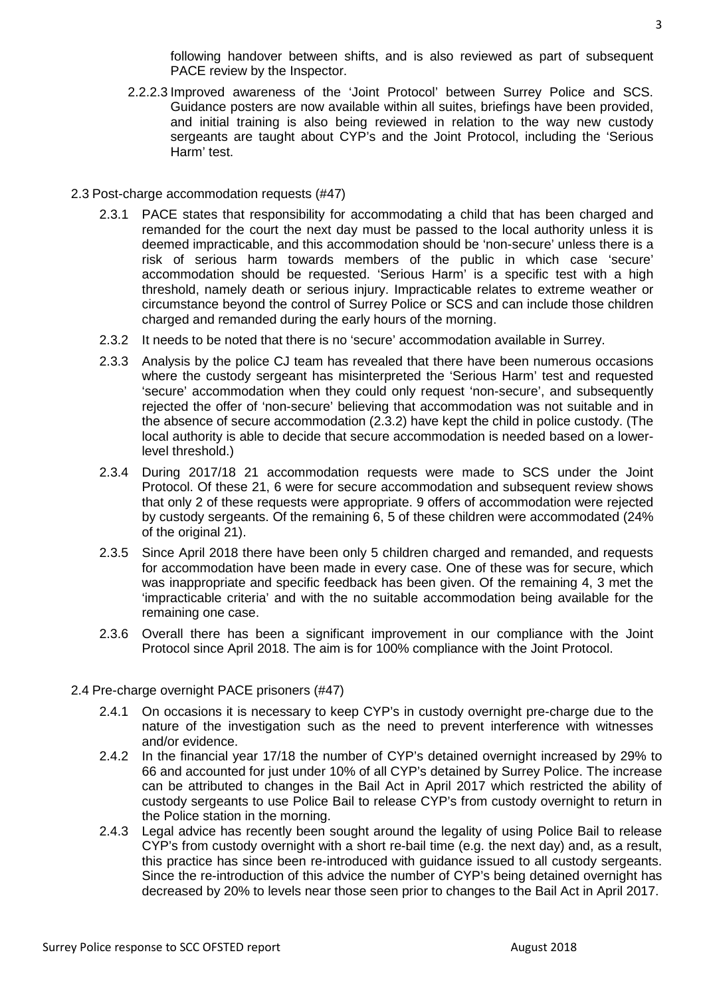following handover between shifts, and is also reviewed as part of subsequent PACE review by the Inspector.

- 2.2.2.3 Improved awareness of the 'Joint Protocol' between Surrey Police and SCS. Guidance posters are now available within all suites, briefings have been provided, and initial training is also being reviewed in relation to the way new custody sergeants are taught about CYP's and the Joint Protocol, including the 'Serious Harm' test.
- 2.3 Post-charge accommodation requests (#47)
	- 2.3.1 PACE states that responsibility for accommodating a child that has been charged and remanded for the court the next day must be passed to the local authority unless it is deemed impracticable, and this accommodation should be 'non-secure' unless there is a risk of serious harm towards members of the public in which case 'secure' accommodation should be requested. 'Serious Harm' is a specific test with a high threshold, namely death or serious injury. Impracticable relates to extreme weather or circumstance beyond the control of Surrey Police or SCS and can include those children charged and remanded during the early hours of the morning.
	- 2.3.2 It needs to be noted that there is no 'secure' accommodation available in Surrey.
	- 2.3.3 Analysis by the police CJ team has revealed that there have been numerous occasions where the custody sergeant has misinterpreted the 'Serious Harm' test and requested 'secure' accommodation when they could only request 'non-secure', and subsequently rejected the offer of 'non-secure' believing that accommodation was not suitable and in the absence of secure accommodation (2.3.2) have kept the child in police custody. (The local authority is able to decide that secure accommodation is needed based on a lowerlevel threshold.)
	- 2.3.4 During 2017/18 21 accommodation requests were made to SCS under the Joint Protocol. Of these 21, 6 were for secure accommodation and subsequent review shows that only 2 of these requests were appropriate. 9 offers of accommodation were rejected by custody sergeants. Of the remaining 6, 5 of these children were accommodated (24% of the original 21).
	- 2.3.5 Since April 2018 there have been only 5 children charged and remanded, and requests for accommodation have been made in every case. One of these was for secure, which was inappropriate and specific feedback has been given. Of the remaining 4, 3 met the 'impracticable criteria' and with the no suitable accommodation being available for the remaining one case.
	- 2.3.6 Overall there has been a significant improvement in our compliance with the Joint Protocol since April 2018. The aim is for 100% compliance with the Joint Protocol.
- 2.4 Pre-charge overnight PACE prisoners (#47)
	- 2.4.1 On occasions it is necessary to keep CYP's in custody overnight pre-charge due to the nature of the investigation such as the need to prevent interference with witnesses and/or evidence.
	- 2.4.2 In the financial year 17/18 the number of CYP's detained overnight increased by 29% to 66 and accounted for just under 10% of all CYP's detained by Surrey Police. The increase can be attributed to changes in the Bail Act in April 2017 which restricted the ability of custody sergeants to use Police Bail to release CYP's from custody overnight to return in the Police station in the morning.
	- 2.4.3 Legal advice has recently been sought around the legality of using Police Bail to release CYP's from custody overnight with a short re-bail time (e.g. the next day) and, as a result, this practice has since been re-introduced with guidance issued to all custody sergeants. Since the re-introduction of this advice the number of CYP's being detained overnight has decreased by 20% to levels near those seen prior to changes to the Bail Act in April 2017.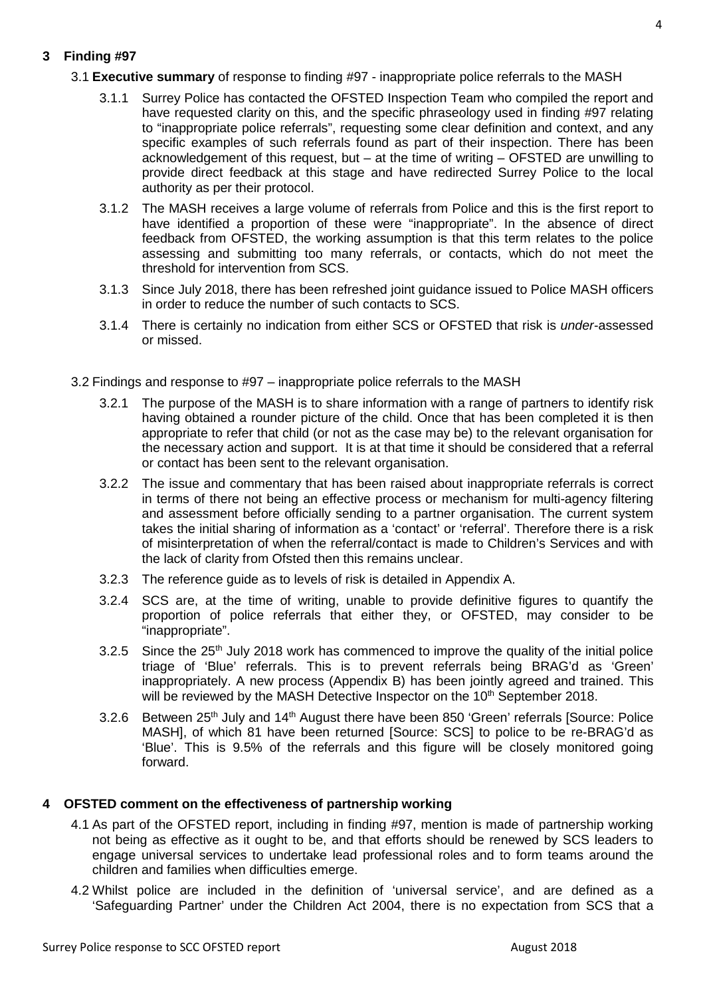# **3 Finding #97**

- 3.1 **Executive summary** of response to finding #97 inappropriate police referrals to the MASH
	- 3.1.1 Surrey Police has contacted the OFSTED Inspection Team who compiled the report and have requested clarity on this, and the specific phraseology used in finding #97 relating to "inappropriate police referrals", requesting some clear definition and context, and any specific examples of such referrals found as part of their inspection. There has been acknowledgement of this request, but – at the time of writing – OFSTED are unwilling to provide direct feedback at this stage and have redirected Surrey Police to the local authority as per their protocol.
	- 3.1.2 The MASH receives a large volume of referrals from Police and this is the first report to have identified a proportion of these were "inappropriate". In the absence of direct feedback from OFSTED, the working assumption is that this term relates to the police assessing and submitting too many referrals, or contacts, which do not meet the threshold for intervention from SCS.
	- 3.1.3 Since July 2018, there has been refreshed joint guidance issued to Police MASH officers in order to reduce the number of such contacts to SCS.
	- 3.1.4 There is certainly no indication from either SCS or OFSTED that risk is *under*-assessed or missed.
- 3.2 Findings and response to #97 inappropriate police referrals to the MASH
	- 3.2.1 The purpose of the MASH is to share information with a range of partners to identify risk having obtained a rounder picture of the child. Once that has been completed it is then appropriate to refer that child (or not as the case may be) to the relevant organisation for the necessary action and support. It is at that time it should be considered that a referral or contact has been sent to the relevant organisation.
	- 3.2.2 The issue and commentary that has been raised about inappropriate referrals is correct in terms of there not being an effective process or mechanism for multi-agency filtering and assessment before officially sending to a partner organisation. The current system takes the initial sharing of information as a 'contact' or 'referral'. Therefore there is a risk of misinterpretation of when the referral/contact is made to Children's Services and with the lack of clarity from Ofsted then this remains unclear.
	- 3.2.3 The reference guide as to levels of risk is detailed in Appendix A.
	- 3.2.4 SCS are, at the time of writing, unable to provide definitive figures to quantify the proportion of police referrals that either they, or OFSTED, may consider to be "inappropriate".
	- 3.2.5 Since the 25<sup>th</sup> July 2018 work has commenced to improve the quality of the initial police triage of 'Blue' referrals. This is to prevent referrals being BRAG'd as 'Green' inappropriately. A new process (Appendix B) has been jointly agreed and trained. This will be reviewed by the MASH Detective Inspector on the 10<sup>th</sup> September 2018.
	- 3.2.6 Between 25<sup>th</sup> July and 14<sup>th</sup> August there have been 850 'Green' referrals [Source: Police MASH], of which 81 have been returned [Source: SCS] to police to be re-BRAG'd as 'Blue'. This is 9.5% of the referrals and this figure will be closely monitored going forward.

## **4 OFSTED comment on the effectiveness of partnership working**

- 4.1 As part of the OFSTED report, including in finding #97, mention is made of partnership working not being as effective as it ought to be, and that efforts should be renewed by SCS leaders to engage universal services to undertake lead professional roles and to form teams around the children and families when difficulties emerge.
- 4.2 Whilst police are included in the definition of 'universal service', and are defined as a 'Safeguarding Partner' under the Children Act 2004, there is no expectation from SCS that a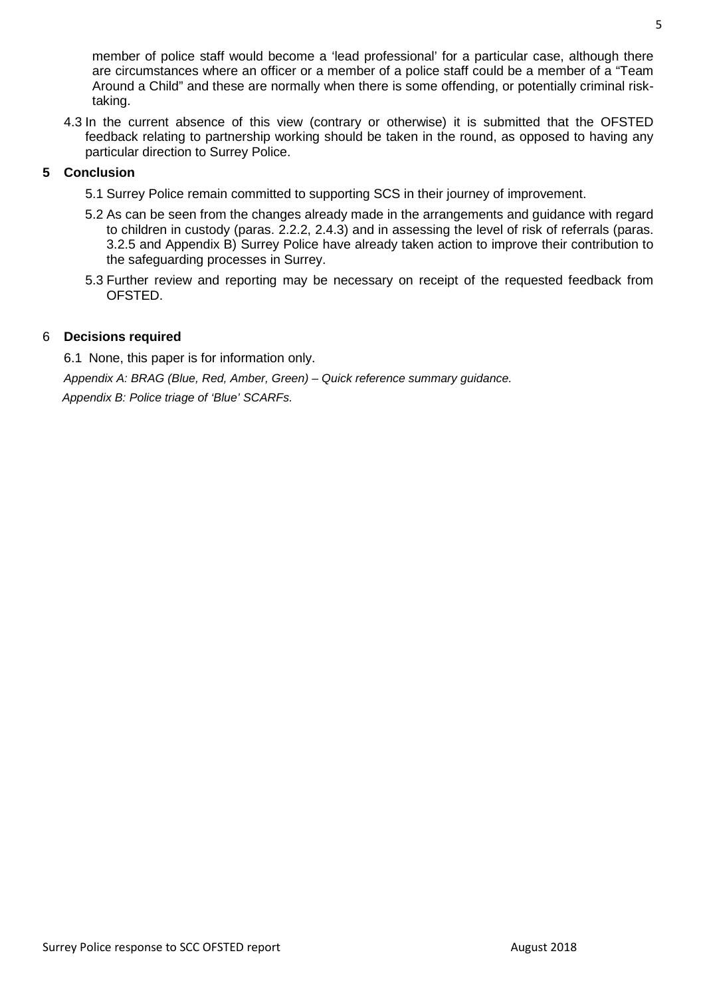member of police staff would become a 'lead professional' for a particular case, although there are circumstances where an officer or a member of a police staff could be a member of a "Team Around a Child" and these are normally when there is some offending, or potentially criminal risktaking.

4.3 In the current absence of this view (contrary or otherwise) it is submitted that the OFSTED feedback relating to partnership working should be taken in the round, as opposed to having any particular direction to Surrey Police.

## **5 Conclusion**

- 5.1 Surrey Police remain committed to supporting SCS in their journey of improvement.
- 5.2 As can be seen from the changes already made in the arrangements and guidance with regard to children in custody (paras. 2.2.2, 2.4.3) and in assessing the level of risk of referrals (paras. 3.2.5 and Appendix B) Surrey Police have already taken action to improve their contribution to the safeguarding processes in Surrey.
- 5.3 Further review and reporting may be necessary on receipt of the requested feedback from OFSTED.

## 6 **Decisions required**

6.1 None, this paper is for information only.

*Appendix A: BRAG (Blue, Red, Amber, Green) – Quick reference summary guidance. Appendix B: Police triage of 'Blue' SCARFs.*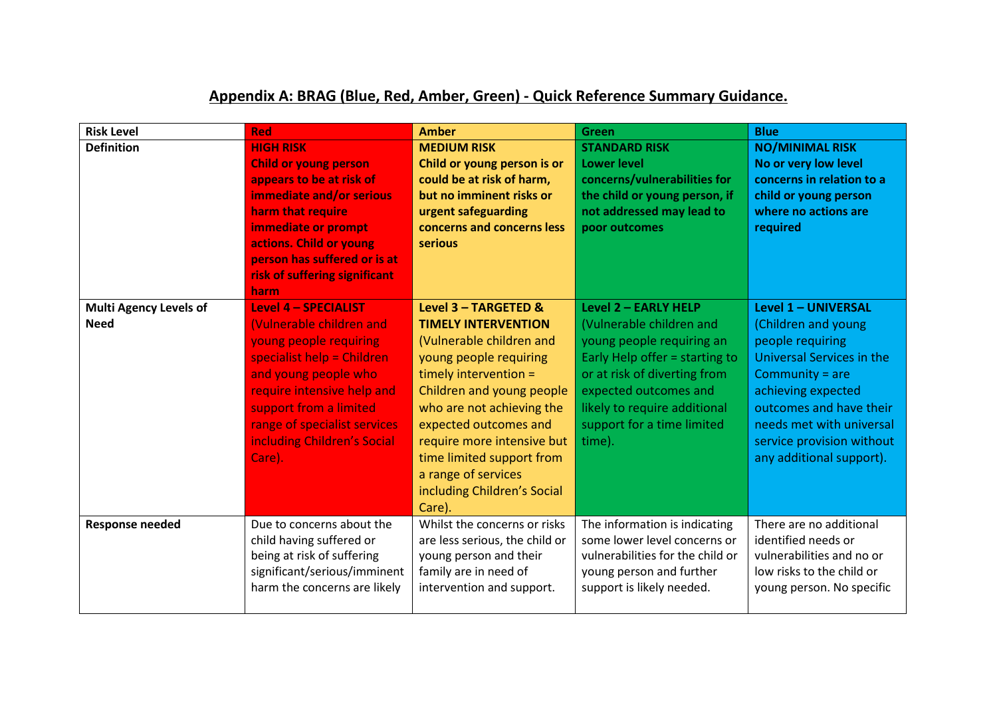# **Appendix A: BRAG (Blue, Red, Amber, Green) - Quick Reference Summary Guidance.**

| <b>Risk Level</b>                            | <b>Red</b>                                                                                                                                                                                                                                                               | <b>Amber</b>                                                                                                                                                                                                                                                                                                                                    | <b>Green</b>                                                                                                                                                                                                                                     | <b>Blue</b>                                                                                                                                                                                                                                            |
|----------------------------------------------|--------------------------------------------------------------------------------------------------------------------------------------------------------------------------------------------------------------------------------------------------------------------------|-------------------------------------------------------------------------------------------------------------------------------------------------------------------------------------------------------------------------------------------------------------------------------------------------------------------------------------------------|--------------------------------------------------------------------------------------------------------------------------------------------------------------------------------------------------------------------------------------------------|--------------------------------------------------------------------------------------------------------------------------------------------------------------------------------------------------------------------------------------------------------|
| <b>Definition</b>                            | <b>HIGH RISK</b><br><b>Child or young person</b><br>appears to be at risk of<br>immediate and/or serious<br>harm that require<br>immediate or prompt<br>actions. Child or young<br>person has suffered or is at<br>risk of suffering significant<br>harm                 | <b>MEDIUM RISK</b><br>Child or young person is or<br>could be at risk of harm,<br>but no imminent risks or<br>urgent safeguarding<br>concerns and concerns less<br>serious                                                                                                                                                                      | <b>STANDARD RISK</b><br><b>Lower level</b><br>concerns/vulnerabilities for<br>the child or young person, if<br>not addressed may lead to<br>poor outcomes                                                                                        | <b>NO/MINIMAL RISK</b><br>No or very low level<br>concerns in relation to a<br>child or young person<br>where no actions are<br>required                                                                                                               |
| <b>Multi Agency Levels of</b><br><b>Need</b> | <b>Level 4 - SPECIALIST</b><br>(Vulnerable children and<br>young people requiring<br>specialist help = Children<br>and young people who<br>require intensive help and<br>support from a limited<br>range of specialist services<br>including Children's Social<br>Care). | Level 3 - TARGETED &<br><b>TIMELY INTERVENTION</b><br>(Vulnerable children and<br>young people requiring<br>timely intervention =<br>Children and young people<br>who are not achieving the<br>expected outcomes and<br>require more intensive but<br>time limited support from<br>a range of services<br>including Children's Social<br>Care). | Level 2 - EARLY HELP<br>(Vulnerable children and<br>young people requiring an<br>Early Help offer = starting to<br>or at risk of diverting from<br>expected outcomes and<br>likely to require additional<br>support for a time limited<br>time). | Level 1 - UNIVERSAL<br>(Children and young<br>people requiring<br>Universal Services in the<br>Community = $are$<br>achieving expected<br>outcomes and have their<br>needs met with universal<br>service provision without<br>any additional support). |
| <b>Response needed</b>                       | Due to concerns about the<br>child having suffered or<br>being at risk of suffering<br>significant/serious/imminent<br>harm the concerns are likely                                                                                                                      | Whilst the concerns or risks<br>are less serious, the child or<br>young person and their<br>family are in need of<br>intervention and support.                                                                                                                                                                                                  | The information is indicating<br>some lower level concerns or<br>vulnerabilities for the child or<br>young person and further<br>support is likely needed.                                                                                       | There are no additional<br>identified needs or<br>vulnerabilities and no or<br>low risks to the child or<br>young person. No specific                                                                                                                  |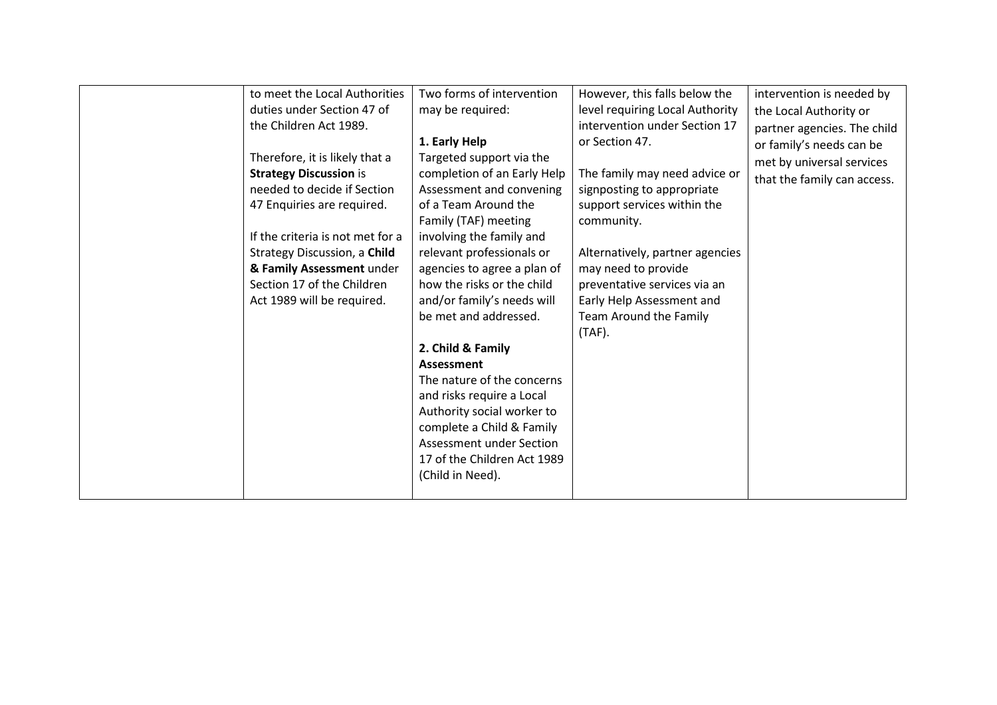| to meet the Local Authorities    | Two forms of intervention   |                                 |                             |
|----------------------------------|-----------------------------|---------------------------------|-----------------------------|
|                                  |                             | However, this falls below the   | intervention is needed by   |
| duties under Section 47 of       | may be required:            | level requiring Local Authority | the Local Authority or      |
| the Children Act 1989.           |                             | intervention under Section 17   | partner agencies. The child |
|                                  | 1. Early Help               | or Section 47.                  | or family's needs can be    |
| Therefore, it is likely that a   | Targeted support via the    |                                 | met by universal services   |
| <b>Strategy Discussion is</b>    | completion of an Early Help | The family may need advice or   | that the family can access. |
| needed to decide if Section      | Assessment and convening    | signposting to appropriate      |                             |
| 47 Enquiries are required.       | of a Team Around the        | support services within the     |                             |
|                                  | Family (TAF) meeting        | community.                      |                             |
| If the criteria is not met for a | involving the family and    |                                 |                             |
| Strategy Discussion, a Child     | relevant professionals or   | Alternatively, partner agencies |                             |
| & Family Assessment under        | agencies to agree a plan of | may need to provide             |                             |
| Section 17 of the Children       | how the risks or the child  | preventative services via an    |                             |
| Act 1989 will be required.       | and/or family's needs will  | Early Help Assessment and       |                             |
|                                  | be met and addressed.       | Team Around the Family          |                             |
|                                  |                             | $(TAF)$ .                       |                             |
|                                  | 2. Child & Family           |                                 |                             |
|                                  | <b>Assessment</b>           |                                 |                             |
|                                  | The nature of the concerns  |                                 |                             |
|                                  | and risks require a Local   |                                 |                             |
|                                  | Authority social worker to  |                                 |                             |
|                                  | complete a Child & Family   |                                 |                             |
|                                  |                             |                                 |                             |
|                                  | Assessment under Section    |                                 |                             |
|                                  | 17 of the Children Act 1989 |                                 |                             |
|                                  | (Child in Need).            |                                 |                             |
|                                  |                             |                                 |                             |